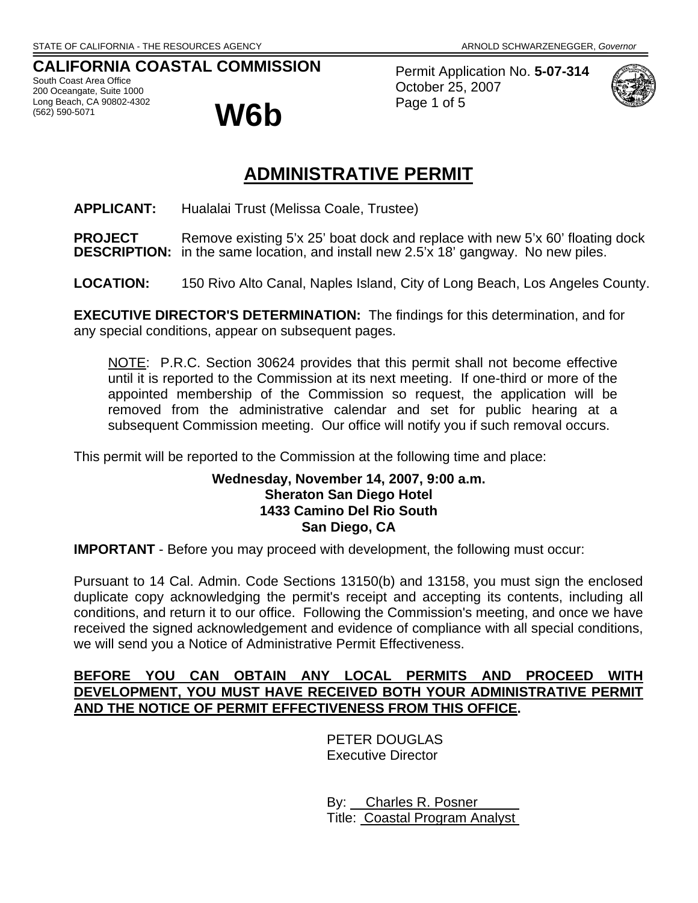# **CALIFORNIA COASTAL COMMISSION**

South Coast Area Office 200 Oceangate, Suite 1000 Long Beach, CA 90802-4302



Permit Application No. **5-07-314** October 25, 2007 Page 1 of 5



# **ADMINISTRATIVE PERMIT**

**APPLICANT:** Hualalai Trust (Melissa Coale, Trustee)

**PROJECT** Remove existing 5'x 25' boat dock and replace with new 5'x 60' floating dock **DESCRIPTION:** in the same location, and install new 2.5'x 18' gangway. No new piles.

**LOCATION:** 150 Rivo Alto Canal, Naples Island, City of Long Beach, Los Angeles County.

**EXECUTIVE DIRECTOR'S DETERMINATION:** The findings for this determination, and for any special conditions, appear on subsequent pages.

NOTE: P.R.C. Section 30624 provides that this permit shall not become effective until it is reported to the Commission at its next meeting. If one-third or more of the appointed membership of the Commission so request, the application will be removed from the administrative calendar and set for public hearing at a subsequent Commission meeting. Our office will notify you if such removal occurs.

This permit will be reported to the Commission at the following time and place:

## **Wednesday, November 14, 2007, 9:00 a.m. Sheraton San Diego Hotel 1433 Camino Del Rio South San Diego, CA**

**IMPORTANT** - Before you may proceed with development, the following must occur:

Pursuant to 14 Cal. Admin. Code Sections 13150(b) and 13158, you must sign the enclosed duplicate copy acknowledging the permit's receipt and accepting its contents, including all conditions, and return it to our office. Following the Commission's meeting, and once we have received the signed acknowledgement and evidence of compliance with all special conditions, we will send you a Notice of Administrative Permit Effectiveness.

# **BEFORE YOU CAN OBTAIN ANY LOCAL PERMITS AND PROCEED WITH DEVELOPMENT, YOU MUST HAVE RECEIVED BOTH YOUR ADMINISTRATIVE PERMIT AND THE NOTICE OF PERMIT EFFECTIVENESS FROM THIS OFFICE.**

 PETER DOUGLAS Executive Director

 By: Charles R. Posner Title: Coastal Program Analyst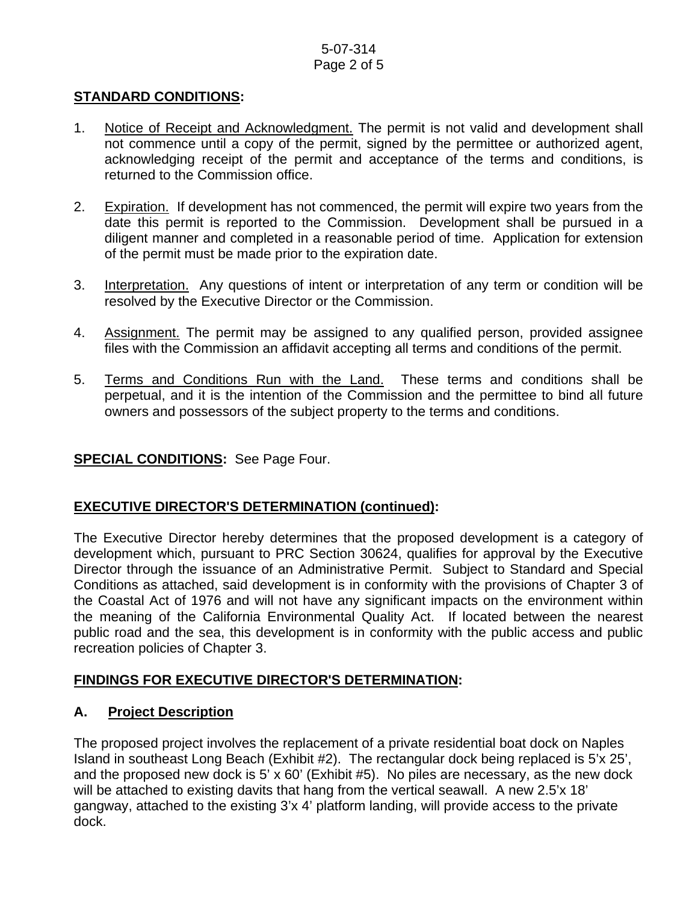## 5-07-314 Page 2 of 5

## **STANDARD CONDITIONS:**

- 1. Notice of Receipt and Acknowledgment. The permit is not valid and development shall not commence until a copy of the permit, signed by the permittee or authorized agent, acknowledging receipt of the permit and acceptance of the terms and conditions, is returned to the Commission office.
- 2. Expiration. If development has not commenced, the permit will expire two years from the date this permit is reported to the Commission. Development shall be pursued in a diligent manner and completed in a reasonable period of time. Application for extension of the permit must be made prior to the expiration date.
- 3. Interpretation. Any questions of intent or interpretation of any term or condition will be resolved by the Executive Director or the Commission.
- 4. Assignment. The permit may be assigned to any qualified person, provided assignee files with the Commission an affidavit accepting all terms and conditions of the permit.
- 5. Terms and Conditions Run with the Land. These terms and conditions shall be perpetual, and it is the intention of the Commission and the permittee to bind all future owners and possessors of the subject property to the terms and conditions.

#### **SPECIAL CONDITIONS:** See Page Four.

# **EXECUTIVE DIRECTOR'S DETERMINATION (continued):**

The Executive Director hereby determines that the proposed development is a category of development which, pursuant to PRC Section 30624, qualifies for approval by the Executive Director through the issuance of an Administrative Permit. Subject to Standard and Special Conditions as attached, said development is in conformity with the provisions of Chapter 3 of the Coastal Act of 1976 and will not have any significant impacts on the environment within the meaning of the California Environmental Quality Act. If located between the nearest public road and the sea, this development is in conformity with the public access and public recreation policies of Chapter 3.

#### **FINDINGS FOR EXECUTIVE DIRECTOR'S DETERMINATION:**

#### **A. Project Description**

The proposed project involves the replacement of a private residential boat dock on Naples Island in southeast Long Beach (Exhibit #2). The rectangular dock being replaced is 5'x 25', and the proposed new dock is 5' x 60' (Exhibit #5). No piles are necessary, as the new dock will be attached to existing davits that hang from the vertical seawall. A new 2.5'x 18' gangway, attached to the existing 3'x 4' platform landing, will provide access to the private dock.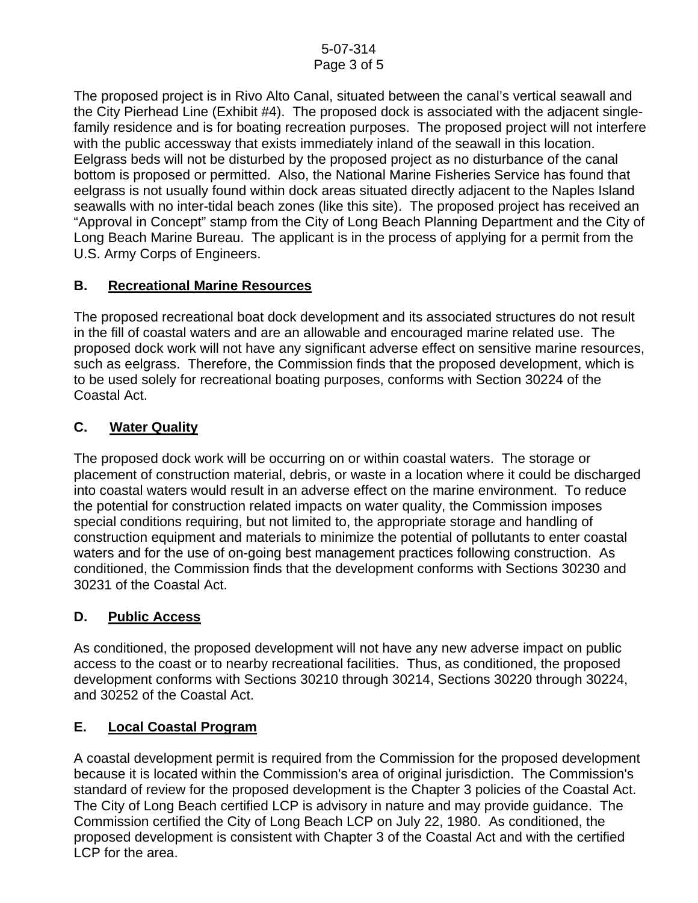The proposed project is in Rivo Alto Canal, situated between the canal's vertical seawall and the City Pierhead Line (Exhibit #4). The proposed dock is associated with the adjacent singlefamily residence and is for boating recreation purposes. The proposed project will not interfere with the public accessway that exists immediately inland of the seawall in this location. Eelgrass beds will not be disturbed by the proposed project as no disturbance of the canal bottom is proposed or permitted. Also, the National Marine Fisheries Service has found that eelgrass is not usually found within dock areas situated directly adjacent to the Naples Island seawalls with no inter-tidal beach zones (like this site). The proposed project has received an "Approval in Concept" stamp from the City of Long Beach Planning Department and the City of Long Beach Marine Bureau. The applicant is in the process of applying for a permit from the U.S. Army Corps of Engineers.

# **B. Recreational Marine Resources**

The proposed recreational boat dock development and its associated structures do not result in the fill of coastal waters and are an allowable and encouraged marine related use. The proposed dock work will not have any significant adverse effect on sensitive marine resources, such as eelgrass. Therefore, the Commission finds that the proposed development, which is to be used solely for recreational boating purposes, conforms with Section 30224 of the Coastal Act.

# **C. Water Quality**

The proposed dock work will be occurring on or within coastal waters. The storage or placement of construction material, debris, or waste in a location where it could be discharged into coastal waters would result in an adverse effect on the marine environment. To reduce the potential for construction related impacts on water quality, the Commission imposes special conditions requiring, but not limited to, the appropriate storage and handling of construction equipment and materials to minimize the potential of pollutants to enter coastal waters and for the use of on-going best management practices following construction. As conditioned, the Commission finds that the development conforms with Sections 30230 and 30231 of the Coastal Act.

# **D. Public Access**

As conditioned, the proposed development will not have any new adverse impact on public access to the coast or to nearby recreational facilities. Thus, as conditioned, the proposed development conforms with Sections 30210 through 30214, Sections 30220 through 30224, and 30252 of the Coastal Act.

# **E. Local Coastal Program**

A coastal development permit is required from the Commission for the proposed development because it is located within the Commission's area of original jurisdiction. The Commission's standard of review for the proposed development is the Chapter 3 policies of the Coastal Act. The City of Long Beach certified LCP is advisory in nature and may provide guidance. The Commission certified the City of Long Beach LCP on July 22, 1980. As conditioned, the proposed development is consistent with Chapter 3 of the Coastal Act and with the certified LCP for the area.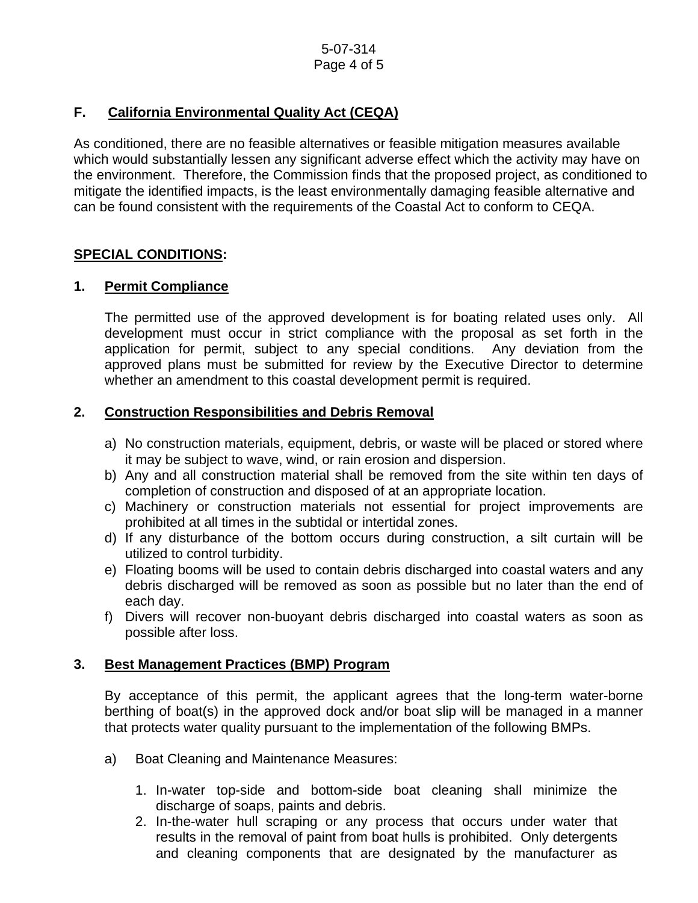# **F. California Environmental Quality Act (CEQA)**

As conditioned, there are no feasible alternatives or feasible mitigation measures available which would substantially lessen any significant adverse effect which the activity may have on the environment. Therefore, the Commission finds that the proposed project, as conditioned to mitigate the identified impacts, is the least environmentally damaging feasible alternative and can be found consistent with the requirements of the Coastal Act to conform to CEQA.

# **SPECIAL CONDITIONS:**

# **1. Permit Compliance**

 The permitted use of the approved development is for boating related uses only. All development must occur in strict compliance with the proposal as set forth in the application for permit, subject to any special conditions. Any deviation from the approved plans must be submitted for review by the Executive Director to determine whether an amendment to this coastal development permit is required.

# **2. Construction Responsibilities and Debris Removal**

- a) No construction materials, equipment, debris, or waste will be placed or stored where it may be subject to wave, wind, or rain erosion and dispersion.
- b) Any and all construction material shall be removed from the site within ten days of completion of construction and disposed of at an appropriate location.
- c) Machinery or construction materials not essential for project improvements are prohibited at all times in the subtidal or intertidal zones.
- d) If any disturbance of the bottom occurs during construction, a silt curtain will be utilized to control turbidity.
- e) Floating booms will be used to contain debris discharged into coastal waters and any debris discharged will be removed as soon as possible but no later than the end of each day.
- f) Divers will recover non-buoyant debris discharged into coastal waters as soon as possible after loss.

#### **3. Best Management Practices (BMP) Program**

By acceptance of this permit, the applicant agrees that the long-term water-borne berthing of boat(s) in the approved dock and/or boat slip will be managed in a manner that protects water quality pursuant to the implementation of the following BMPs.

- a) Boat Cleaning and Maintenance Measures:
	- 1. In-water top-side and bottom-side boat cleaning shall minimize the discharge of soaps, paints and debris.
	- 2. In-the-water hull scraping or any process that occurs under water that results in the removal of paint from boat hulls is prohibited. Only detergents and cleaning components that are designated by the manufacturer as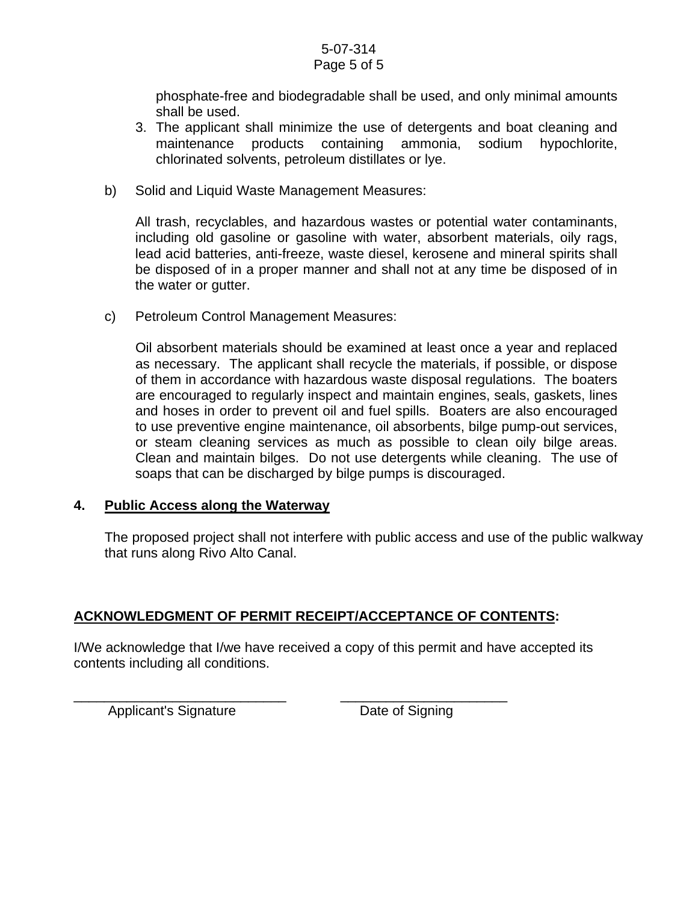#### 5-07-314 Page 5 of 5

phosphate-free and biodegradable shall be used, and only minimal amounts shall be used.

- 3. The applicant shall minimize the use of detergents and boat cleaning and maintenance products containing ammonia, sodium hypochlorite, chlorinated solvents, petroleum distillates or lye.
- b) Solid and Liquid Waste Management Measures:

All trash, recyclables, and hazardous wastes or potential water contaminants, including old gasoline or gasoline with water, absorbent materials, oily rags, lead acid batteries, anti-freeze, waste diesel, kerosene and mineral spirits shall be disposed of in a proper manner and shall not at any time be disposed of in the water or gutter.

c) Petroleum Control Management Measures:

Oil absorbent materials should be examined at least once a year and replaced as necessary. The applicant shall recycle the materials, if possible, or dispose of them in accordance with hazardous waste disposal regulations. The boaters are encouraged to regularly inspect and maintain engines, seals, gaskets, lines and hoses in order to prevent oil and fuel spills. Boaters are also encouraged to use preventive engine maintenance, oil absorbents, bilge pump-out services, or steam cleaning services as much as possible to clean oily bilge areas. Clean and maintain bilges. Do not use detergents while cleaning. The use of soaps that can be discharged by bilge pumps is discouraged.

#### **4. Public Access along the Waterway**

The proposed project shall not interfere with public access and use of the public walkway that runs along Rivo Alto Canal.

# **ACKNOWLEDGMENT OF PERMIT RECEIPT/ACCEPTANCE OF CONTENTS:**

\_\_\_\_\_\_\_\_\_\_\_\_\_\_\_\_\_\_\_\_\_\_\_\_\_\_\_\_ \_\_\_\_\_\_\_\_\_\_\_\_\_\_\_\_\_\_\_\_\_\_

I/We acknowledge that I/we have received a copy of this permit and have accepted its contents including all conditions.

Applicant's Signature **Date of Signing**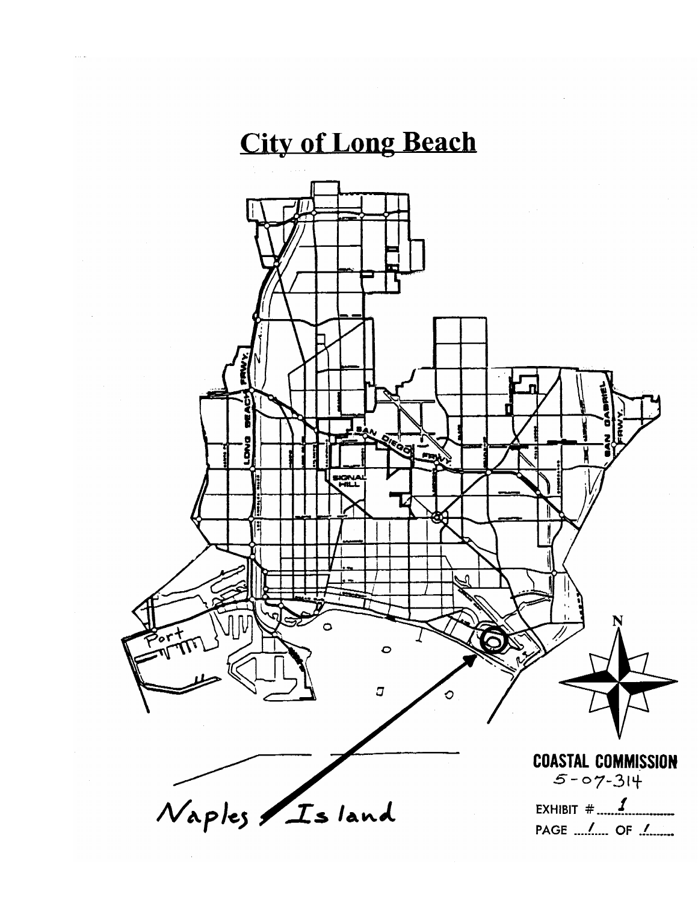# **City of Long Beach**

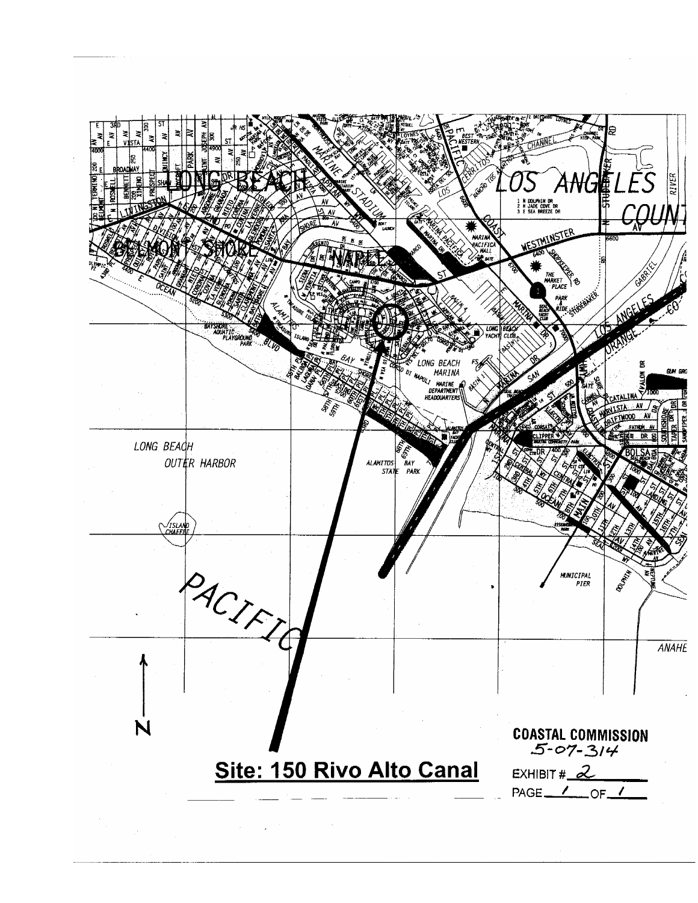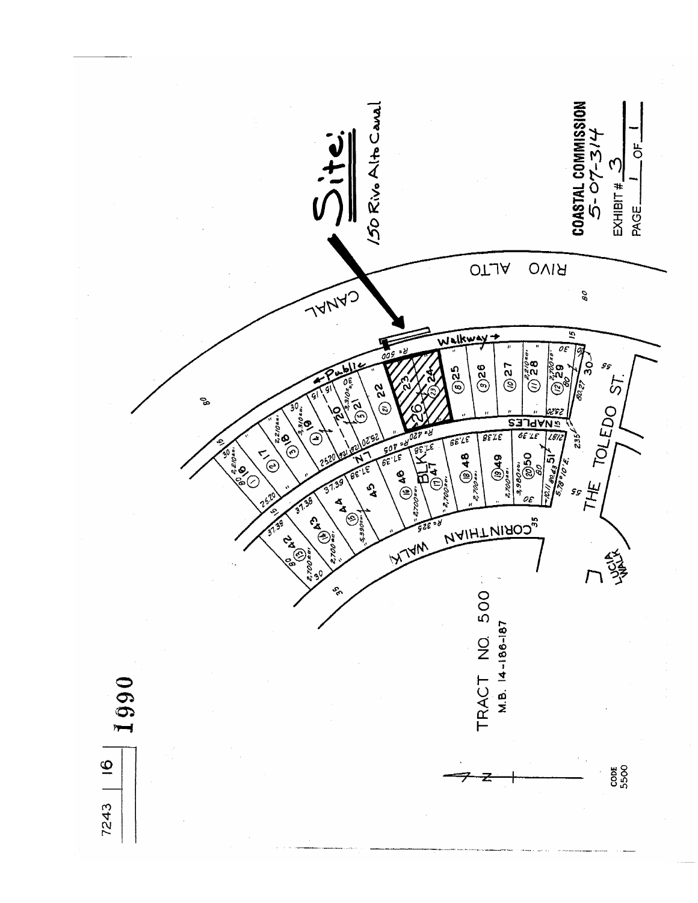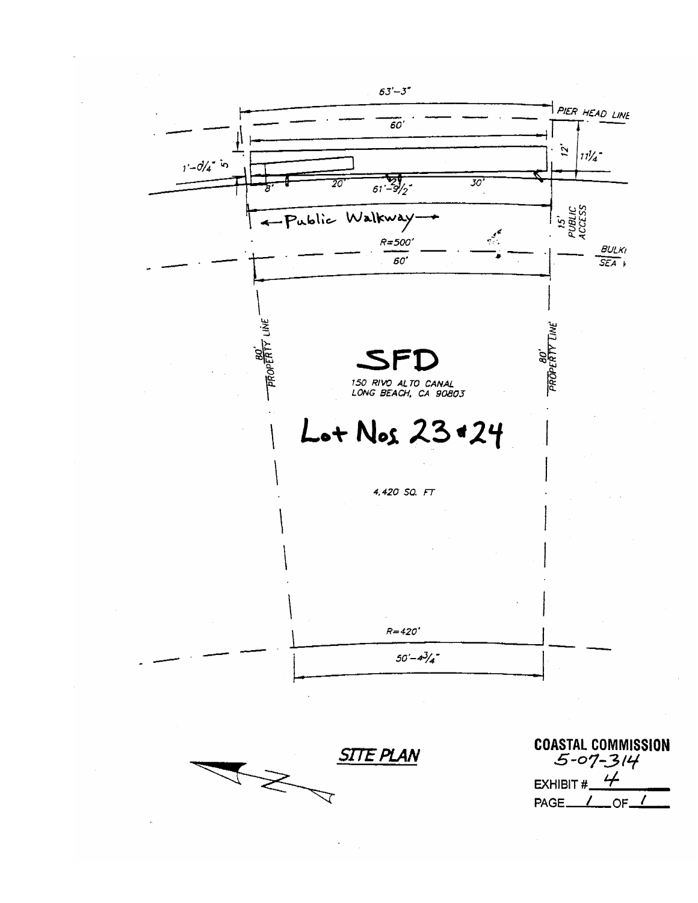

 $PAGE$   $I$  of  $I$ 

 $\small\sqrt{ }$